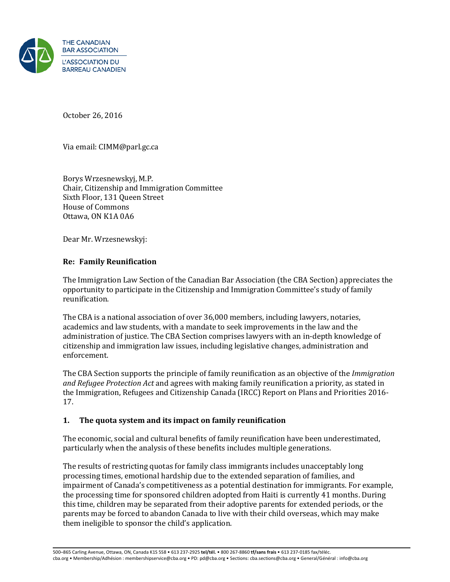

October 26, 2016

Via email: CIMM@parl.gc.ca

Borys Wrzesnewskyj, M.P. Chair, Citizenship and Immigration Committee Sixth Floor, 131 Queen Street House of Commons Ottawa, ON K1A 0A6

Dear Mr. Wrzesnewskyj:

### **Re: Family Reunification**

The Immigration Law Section of the Canadian Bar Association (the CBA Section) appreciates the opportunity to participate in the Citizenship and Immigration Committee's study of family reunification.

The CBA is a national association of over 36,000 members, including lawyers, notaries, academics and law students, with a mandate to seek improvements in the law and the administration of justice. The CBA Section comprises lawyers with an in-depth knowledge of citizenship and immigration law issues, including legislative changes, administration and enforcement.

The CBA Section supports the principle of family reunification as an objective of the *Immigration and Refugee Protection Act* and agrees with making family reunification a priority, as stated in the Immigration, Refugees and Citizenship Canada (IRCC) Report on Plans and Priorities 2016- 17.

### **1. The quota system and its impact on family reunification**

The economic, social and cultural benefits of family reunification have been underestimated, particularly when the analysis of these benefits includes multiple generations.

The results of restricting quotas for family class immigrants includes unacceptably long processing times, emotional hardship due to the extended separation of families, and impairment of Canada's competitiveness as a potential destination for immigrants. For example, the processing time for sponsored children adopted from Haiti is currently 41 months. During this time, children may be separated from their adoptive parents for extended periods, or the parents may be forced to abandon Canada to live with their child overseas, which may make them ineligible to sponsor the child's application.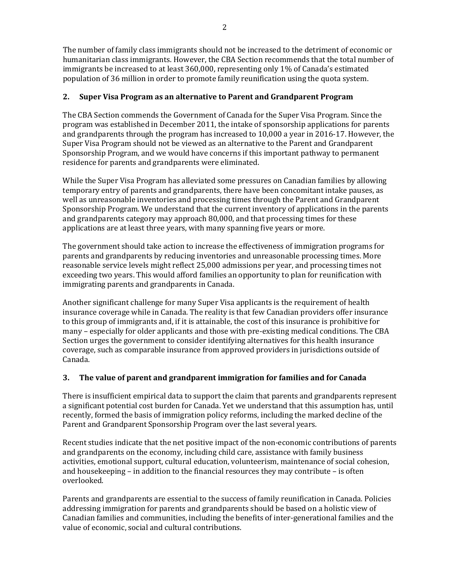The number of family class immigrants should not be increased to the detriment of economic or humanitarian class immigrants. However, the CBA Section recommends that the total number of immigrants be increased to at least 360,000, representing only 1% of Canada's estimated population of 36 million in order to promote family reunification using the quota system.

## **2. Super Visa Program as an alternative to Parent and Grandparent Program**

The CBA Section commends the Government of Canada for the Super Visa Program. Since the program was established in December 2011, the intake of sponsorship applications for parents and grandparents through the program has increased to 10,000 a year in 2016-17. However, the Super Visa Program should not be viewed as an alternative to the Parent and Grandparent Sponsorship Program, and we would have concerns if this important pathway to permanent residence for parents and grandparents were eliminated.

While the Super Visa Program has alleviated some pressures on Canadian families by allowing temporary entry of parents and grandparents, there have been concomitant intake pauses, as well as unreasonable inventories and processing times through the Parent and Grandparent Sponsorship Program. We understand that the current inventory of applications in the parents and grandparents category may approach 80,000, and that processing times for these applications are at least three years, with many spanning five years or more.

The government should take action to increase the effectiveness of immigration programs for parents and grandparents by reducing inventories and unreasonable processing times. More reasonable service levels might reflect 25,000 admissions per year, and processing times not exceeding two years. This would afford families an opportunity to plan for reunification with immigrating parents and grandparents in Canada.

Another significant challenge for many Super Visa applicants is the requirement of health insurance coverage while in Canada. The reality is that few Canadian providers offer insurance to this group of immigrants and, if it is attainable, the cost of this insurance is prohibitive for many – especially for older applicants and those with pre-existing medical conditions. The CBA Section urges the government to consider identifying alternatives for this health insurance coverage, such as comparable insurance from approved providers in jurisdictions outside of Canada.

# **3. The value of parent and grandparent immigration for families and for Canada**

There is insufficient empirical data to support the claim that parents and grandparents represent a significant potential cost burden for Canada. Yet we understand that this assumption has, until recently, formed the basis of immigration policy reforms, including the marked decline of the Parent and Grandparent Sponsorship Program over the last several years.

Recent studies indicate that the net positive impact of the non-economic contributions of parents and grandparents on the economy, including child care, assistance with family business activities, emotional support, cultural education, volunteerism, maintenance of social cohesion, and housekeeping – in addition to the financial resources they may contribute – is often overlooked.

Parents and grandparents are essential to the success of family reunification in Canada. Policies addressing immigration for parents and grandparents should be based on a holistic view of Canadian families and communities, including the benefits of inter-generational families and the value of economic, social and cultural contributions.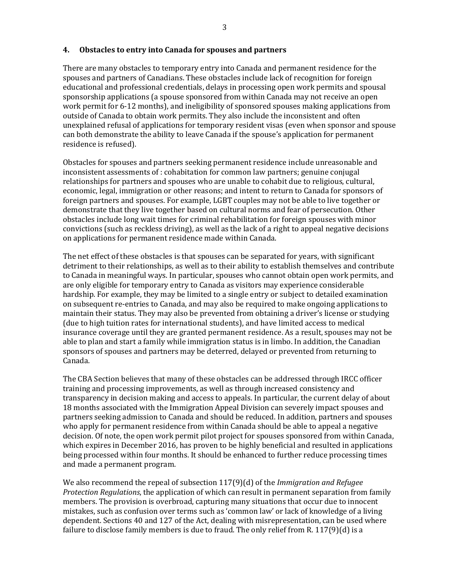#### **4. Obstacles to entry into Canada for spouses and partners**

There are many obstacles to temporary entry into Canada and permanent residence for the spouses and partners of Canadians. These obstacles include lack of recognition for foreign educational and professional credentials, delays in processing open work permits and spousal sponsorship applications (a spouse sponsored from within Canada may not receive an open work permit for 6-12 months), and ineligibility of sponsored spouses making applications from outside of Canada to obtain work permits. They also include the inconsistent and often unexplained refusal of applications for temporary resident visas (even when sponsor and spouse can both demonstrate the ability to leave Canada if the spouse's application for permanent residence is refused).

Obstacles for spouses and partners seeking permanent residence include unreasonable and inconsistent assessments of : cohabitation for common law partners; genuine conjugal relationships for partners and spouses who are unable to cohabit due to religious, cultural, economic, legal, immigration or other reasons; and intent to return to Canada for sponsors of foreign partners and spouses. For example, LGBT couples may not be able to live together or demonstrate that they live together based on cultural norms and fear of persecution. Other obstacles include long wait times for criminal rehabilitation for foreign spouses with minor convictions (such as reckless driving), as well as the lack of a right to appeal negative decisions on applications for permanent residence made within Canada.

The net effect of these obstacles is that spouses can be separated for years, with significant detriment to their relationships, as well as to their ability to establish themselves and contribute to Canada in meaningful ways. In particular, spouses who cannot obtain open work permits, and are only eligible for temporary entry to Canada as visitors may experience considerable hardship. For example, they may be limited to a single entry or subject to detailed examination on subsequent re-entries to Canada, and may also be required to make ongoing applications to maintain their status. They may also be prevented from obtaining a driver's license or studying (due to high tuition rates for international students), and have limited access to medical insurance coverage until they are granted permanent residence. As a result, spouses may not be able to plan and start a family while immigration status is in limbo. In addition, the Canadian sponsors of spouses and partners may be deterred, delayed or prevented from returning to Canada.

The CBA Section believes that many of these obstacles can be addressed through IRCC officer training and processing improvements, as well as through increased consistency and transparency in decision making and access to appeals. In particular, the current delay of about 18 months associated with the Immigration Appeal Division can severely impact spouses and partners seeking admission to Canada and should be reduced. In addition, partners and spouses who apply for permanent residence from within Canada should be able to appeal a negative decision. Of note, the open work permit pilot project for spouses sponsored from within Canada, which expires in December 2016, has proven to be highly beneficial and resulted in applications being processed within four months. It should be enhanced to further reduce processing times and made a permanent program.

We also recommend the repeal of subsection 117(9)(d) of the *Immigration and Refugee Protection Regulations*, the application of which can result in permanent separation from family members. The provision is overbroad, capturing many situations that occur due to innocent mistakes, such as confusion over terms such as 'common law' or lack of knowledge of a living dependent. Sections 40 and 127 of the Act, dealing with misrepresentation, can be used where failure to disclose family members is due to fraud. The only relief from R. 117(9)(d) is a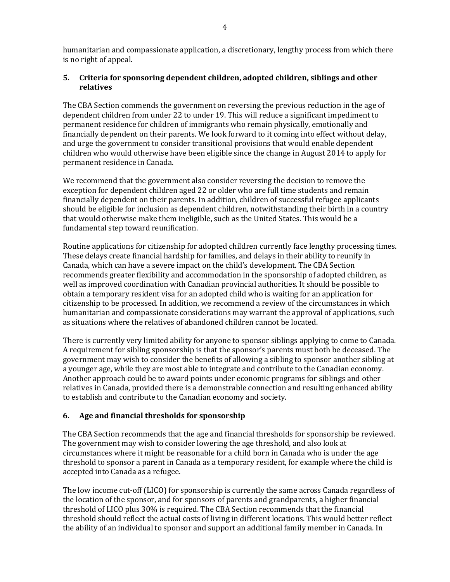humanitarian and compassionate application, a discretionary, lengthy process from which there is no right of appeal.

### **5. Criteria for sponsoring dependent children, adopted children, siblings and other relatives**

The CBA Section commends the government on reversing the previous reduction in the age of dependent children from under 22 to under 19. This will reduce a significant impediment to permanent residence for children of immigrants who remain physically, emotionally and financially dependent on their parents. We look forward to it coming into effect without delay, and urge the government to consider transitional provisions that would enable dependent children who would otherwise have been eligible since the change in August 2014 to apply for permanent residence in Canada.

We recommend that the government also consider reversing the decision to remove the exception for dependent children aged 22 or older who are full time students and remain financially dependent on their parents. In addition, children of successful refugee applicants should be eligible for inclusion as dependent children, notwithstanding their birth in a country that would otherwise make them ineligible, such as the United States. This would be a fundamental step toward reunification.

Routine applications for citizenship for adopted children currently face lengthy processing times. These delays create financial hardship for families, and delays in their ability to reunify in Canada, which can have a severe impact on the child's development. The CBA Section recommends greater flexibility and accommodation in the sponsorship of adopted children, as well as improved coordination with Canadian provincial authorities. It should be possible to obtain a temporary resident visa for an adopted child who is waiting for an application for citizenship to be processed. In addition, we recommend a review of the circumstances in which humanitarian and compassionate considerations may warrant the approval of applications, such as situations where the relatives of abandoned children cannot be located.

There is currently very limited ability for anyone to sponsor siblings applying to come to Canada. A requirement for sibling sponsorship is that the sponsor's parents must both be deceased. The government may wish to consider the benefits of allowing a sibling to sponsor another sibling at a younger age, while they are most able to integrate and contribute to the Canadian economy. Another approach could be to award points under economic programs for siblings and other relatives in Canada, provided there is a demonstrable connection and resulting enhanced ability to establish and contribute to the Canadian economy and society.

### **6. Age and financial thresholds for sponsorship**

The CBA Section recommends that the age and financial thresholds for sponsorship be reviewed. The government may wish to consider lowering the age threshold, and also look at circumstances where it might be reasonable for a child born in Canada who is under the age threshold to sponsor a parent in Canada as a temporary resident, for example where the child is accepted into Canada as a refugee.

The low income cut-off (LICO) for sponsorship is currently the same across Canada regardless of the location of the sponsor, and for sponsors of parents and grandparents, a higher financial threshold of LICO plus 30% is required. The CBA Section recommends that the financial threshold should reflect the actual costs of living in different locations. This would better reflect the ability of an individual to sponsor and support an additional family member in Canada. In